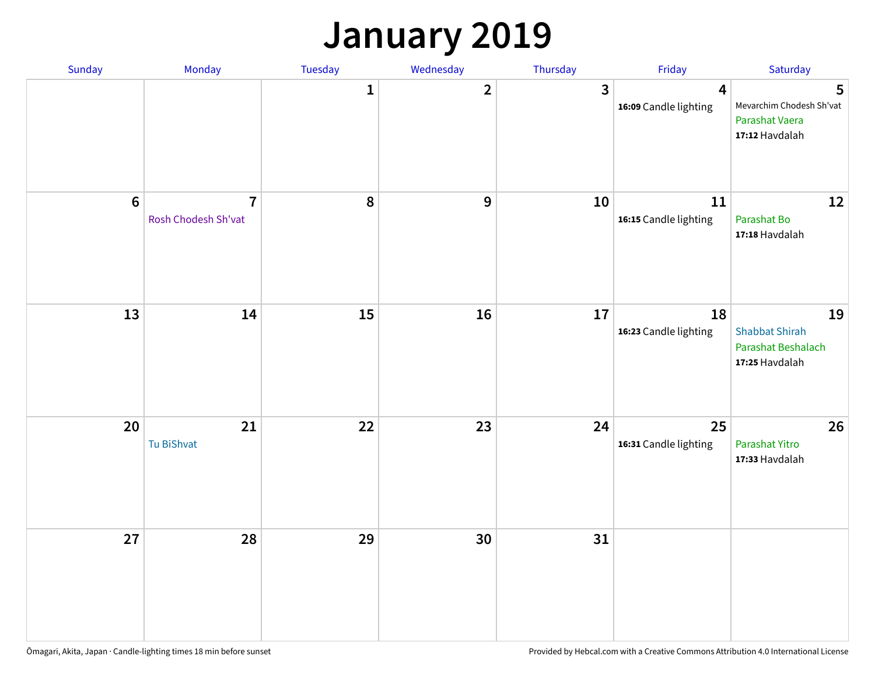### **January 2019**

| Sunday           | Monday                                | Tuesday      | Wednesday      | Thursday     | Friday                                           | Saturday                                                            |
|------------------|---------------------------------------|--------------|----------------|--------------|--------------------------------------------------|---------------------------------------------------------------------|
|                  |                                       | $\mathbf{1}$ | $\overline{2}$ | $\mathbf{3}$ | $\overline{\mathbf{4}}$<br>16:09 Candle lighting | 5<br>Mevarchim Chodesh Sh'vat<br>Parashat Vaera<br>17:12 Havdalah   |
| $\boldsymbol{6}$ | $\overline{7}$<br>Rosh Chodesh Sh'vat | 8            | 9              | 10           | 11<br>16:15 Candle lighting                      | 12<br>Parashat Bo<br>17:18 Havdalah                                 |
| 13               | 14                                    | 15           | 16             | 17           | 18<br>16:23 Candle lighting                      | 19<br><b>Shabbat Shirah</b><br>Parashat Beshalach<br>17:25 Havdalah |
| 20               | 21<br>Tu BiShvat                      | 22           | 23             | 24           | 25<br>16:31 Candle lighting                      | 26<br>Parashat Yitro<br>17:33 Havdalah                              |
| 27               | 28                                    | 29           | 30             | 31           |                                                  |                                                                     |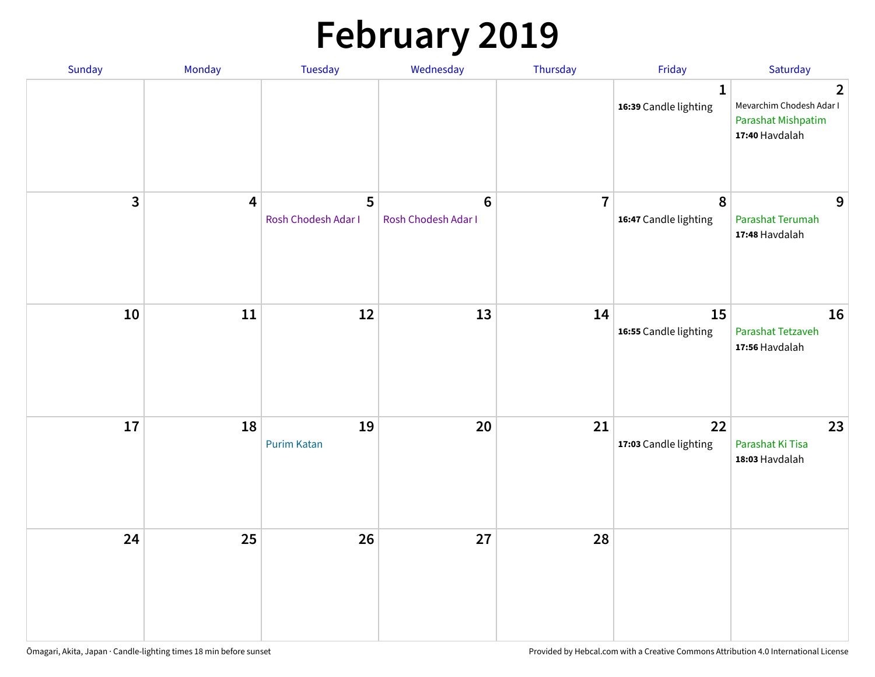# **February 2019**

| Sunday | Monday                  | Tuesday                  | Wednesday                             | Thursday       | Friday                                    | Saturday                                                                           |
|--------|-------------------------|--------------------------|---------------------------------------|----------------|-------------------------------------------|------------------------------------------------------------------------------------|
|        |                         |                          |                                       |                | $\mathbf{1}$<br>16:39 Candle lighting     | $\overline{2}$<br>Mevarchim Chodesh Adar I<br>Parashat Mishpatim<br>17:40 Havdalah |
| 3      | $\overline{\mathbf{4}}$ | 5<br>Rosh Chodesh Adar I | $6\phantom{a}$<br>Rosh Chodesh Adar I | $\overline{7}$ | $\boldsymbol{8}$<br>16:47 Candle lighting | 9<br>Parashat Terumah<br>17:48 Havdalah                                            |
| $10\,$ | $11\,$                  | 12                       | 13                                    | 14             | 15<br>16:55 Candle lighting               | 16<br>Parashat Tetzaveh<br>17:56 Havdalah                                          |
| $17\,$ | 18                      | 19<br><b>Purim Katan</b> | $20\,$                                | 21             | 22<br>17:03 Candle lighting               | 23<br>Parashat Ki Tisa<br>18:03 Havdalah                                           |
| 24     | 25                      | 26                       | 27                                    | 28             |                                           |                                                                                    |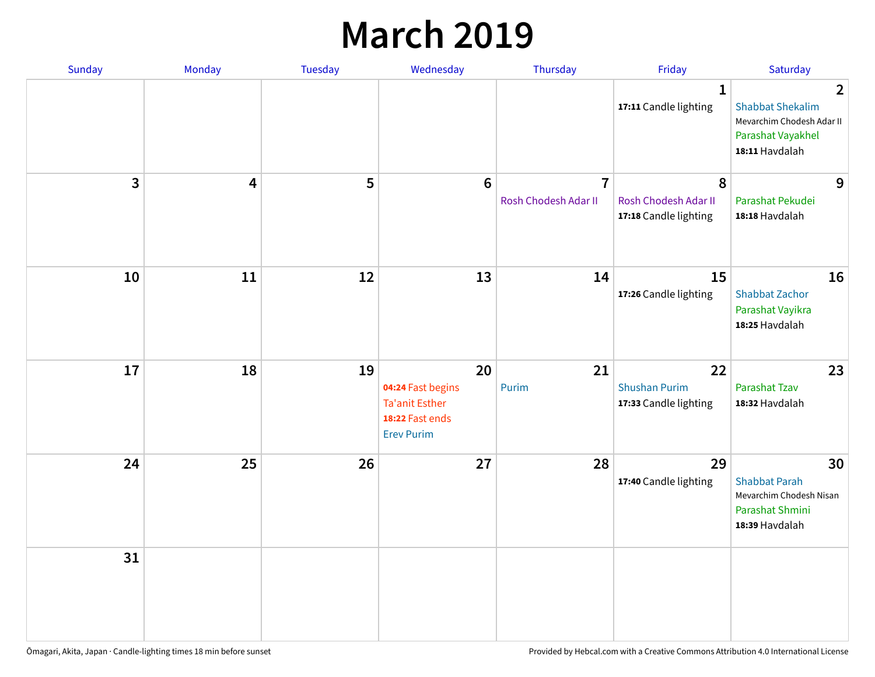### **March 2019**

| Sunday       | Monday | Tuesday | Wednesday                                                                                | Thursday                               | Friday                                              | Saturday                                                                                                      |
|--------------|--------|---------|------------------------------------------------------------------------------------------|----------------------------------------|-----------------------------------------------------|---------------------------------------------------------------------------------------------------------------|
|              |        |         |                                                                                          |                                        | $\mathbf{1}$<br>17:11 Candle lighting               | $\overline{2}$<br><b>Shabbat Shekalim</b><br>Mevarchim Chodesh Adar II<br>Parashat Vayakhel<br>18:11 Havdalah |
| $\mathbf{3}$ | 4      | 5       | $6\phantom{1}6$                                                                          | $\overline{7}$<br>Rosh Chodesh Adar II | 8<br>Rosh Chodesh Adar II<br>17:18 Candle lighting  | 9<br>Parashat Pekudei<br>18:18 Havdalah                                                                       |
| 10           | 11     | 12      | 13                                                                                       | 14                                     | 15<br>17:26 Candle lighting                         | 16<br><b>Shabbat Zachor</b><br>Parashat Vayikra<br>18:25 Havdalah                                             |
| 17           | 18     | 19      | 20<br>04:24 Fast begins<br><b>Ta'anit Esther</b><br>18:22 Fast ends<br><b>Erev Purim</b> | 21<br>Purim                            | 22<br><b>Shushan Purim</b><br>17:33 Candle lighting | 23<br><b>Parashat Tzav</b><br>18:32 Havdalah                                                                  |
| 24           | 25     | 26      | 27                                                                                       | 28                                     | 29<br>17:40 Candle lighting                         | 30<br><b>Shabbat Parah</b><br>Mevarchim Chodesh Nisan<br>Parashat Shmini<br>18:39 Havdalah                    |
| 31           |        |         |                                                                                          |                                        |                                                     |                                                                                                               |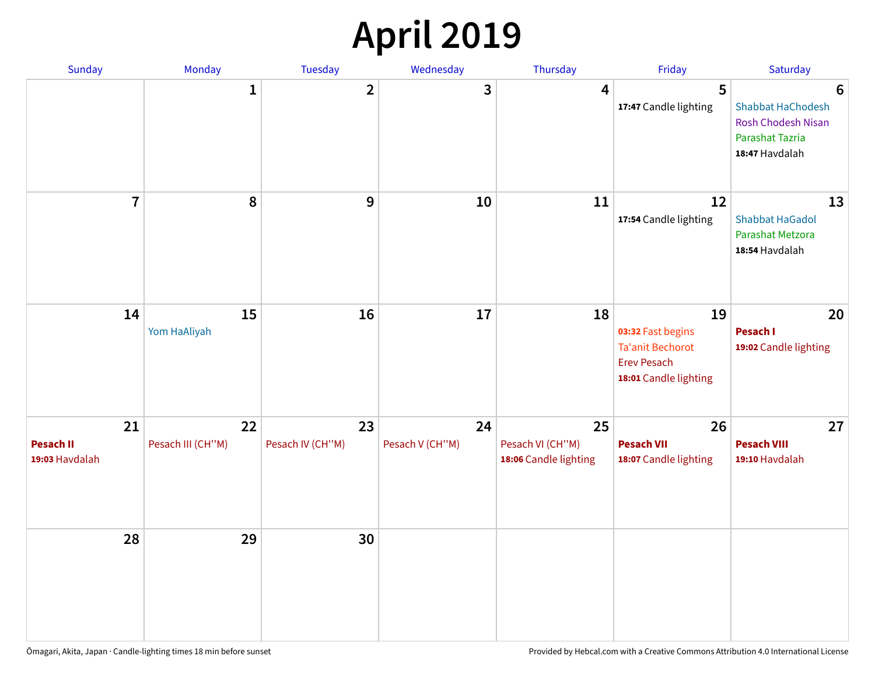## **April 2019**

| Sunday                                   | Monday                  | Tuesday                | Wednesday             | Thursday                                        | Friday                                                                                            | Saturday                                                                                 |
|------------------------------------------|-------------------------|------------------------|-----------------------|-------------------------------------------------|---------------------------------------------------------------------------------------------------|------------------------------------------------------------------------------------------|
|                                          | $\mathbf{1}$            | $\overline{2}$         | 3                     | $\overline{4}$                                  | 5<br>17:47 Candle lighting                                                                        | 6<br>Shabbat HaChodesh<br><b>Rosh Chodesh Nisan</b><br>Parashat Tazria<br>18:47 Havdalah |
| $\overline{7}$                           | 8                       | $\boldsymbol{9}$       | 10                    | 11                                              | 12<br>17:54 Candle lighting                                                                       | 13<br><b>Shabbat HaGadol</b><br>Parashat Metzora<br>18:54 Havdalah                       |
| 14                                       | 15<br>Yom HaAliyah      | 16                     | 17                    | 18                                              | 19<br>03:32 Fast begins<br><b>Ta'anit Bechorot</b><br><b>Erev Pesach</b><br>18:01 Candle lighting | 20<br>Pesach I<br>19:02 Candle lighting                                                  |
| 21<br><b>Pesach II</b><br>19:03 Havdalah | 22<br>Pesach III (CH"M) | 23<br>Pesach IV (CH"M) | 24<br>Pesach V (CH"M) | 25<br>Pesach VI (CH"M)<br>18:06 Candle lighting | 26<br><b>Pesach VII</b><br>18:07 Candle lighting                                                  | 27<br><b>Pesach VIII</b><br>19:10 Havdalah                                               |
| 28                                       | 29                      | 30                     |                       |                                                 |                                                                                                   |                                                                                          |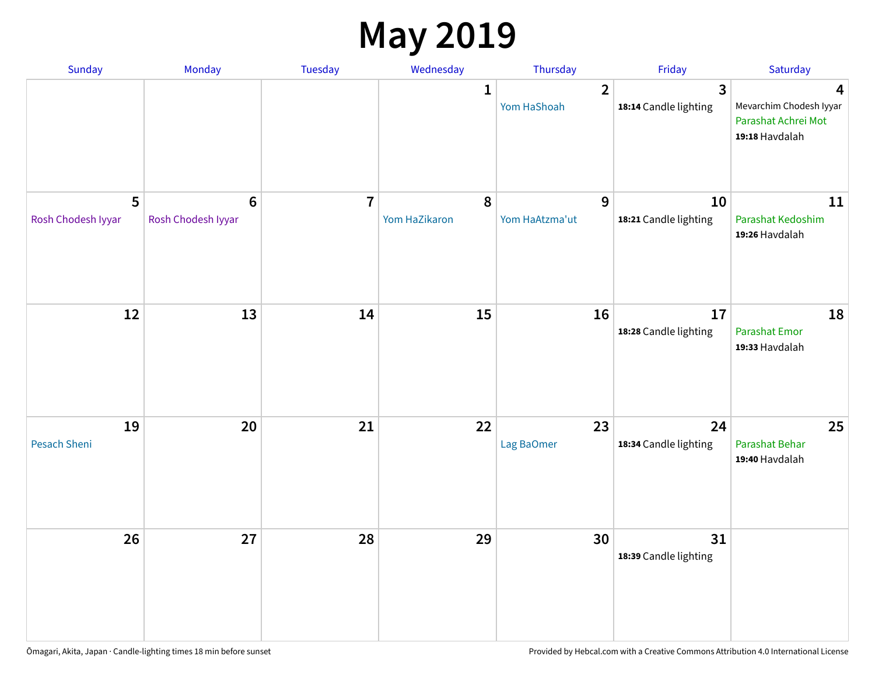### **May 2019**

| Sunday                    | Monday                      | Tuesday        | Wednesday                  | Thursday                      | Friday                                           | Saturday                                                              |
|---------------------------|-----------------------------|----------------|----------------------------|-------------------------------|--------------------------------------------------|-----------------------------------------------------------------------|
|                           |                             |                | 1                          | $\overline{2}$<br>Yom HaShoah | $\overline{\mathbf{3}}$<br>18:14 Candle lighting | 4<br>Mevarchim Chodesh Iyyar<br>Parashat Achrei Mot<br>19:18 Havdalah |
| 5<br>Rosh Chodesh Iyyar   | $6\,$<br>Rosh Chodesh Iyyar | $\overline{7}$ | $\pmb{8}$<br>Yom HaZikaron | 9<br>Yom HaAtzma'ut           | 10<br>18:21 Candle lighting                      | 11<br>Parashat Kedoshim<br>19:26 Havdalah                             |
| 12                        | 13                          | 14             | 15                         | 16                            | 17<br>18:28 Candle lighting                      | 18<br><b>Parashat Emor</b><br>19:33 Havdalah                          |
| 19<br><b>Pesach Sheni</b> | 20                          | 21             | 22                         | 23<br>Lag BaOmer              | 24<br>18:34 Candle lighting                      | 25<br>Parashat Behar<br>19:40 Havdalah                                |
| 26                        | 27                          | 28             | 29                         | 30                            | 31<br>18:39 Candle lighting                      |                                                                       |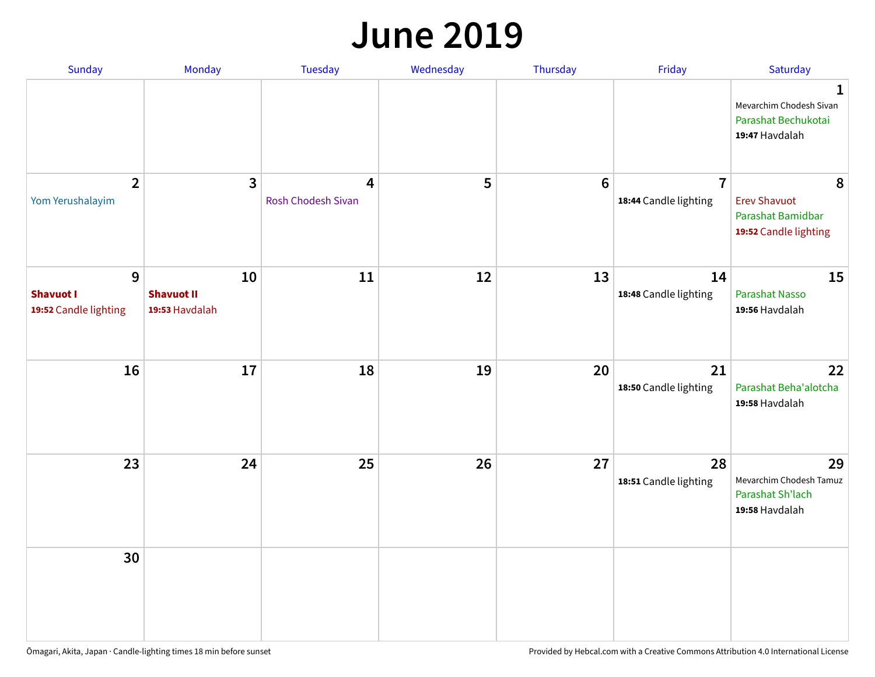#### **June 2019**

| Sunday                                         | Monday                                    | Tuesday                 | Wednesday | Thursday        | Friday                                  | Saturday                                                               |
|------------------------------------------------|-------------------------------------------|-------------------------|-----------|-----------------|-----------------------------------------|------------------------------------------------------------------------|
|                                                |                                           |                         |           |                 |                                         | 1<br>Mevarchim Chodesh Sivan<br>Parashat Bechukotai<br>19:47 Havdalah  |
| $\overline{2}$<br>Yom Yerushalayim             | $\mathbf{3}$                              | 4<br>Rosh Chodesh Sivan | 5         | $6\phantom{1}6$ | $\overline{7}$<br>18:44 Candle lighting | 8<br><b>Erev Shavuot</b><br>Parashat Bamidbar<br>19:52 Candle lighting |
| 9<br><b>Shavuot I</b><br>19:52 Candle lighting | 10<br><b>Shavuot II</b><br>19:53 Havdalah | 11                      | 12        | 13              | 14<br>18:48 Candle lighting             | 15<br><b>Parashat Nasso</b><br>19:56 Havdalah                          |
| 16                                             | 17                                        | 18                      | 19        | 20              | 21<br>18:50 Candle lighting             | 22<br>Parashat Beha'alotcha<br>19:58 Havdalah                          |
| 23                                             | 24                                        | 25                      | 26        | 27              | 28<br>18:51 Candle lighting             | 29<br>Mevarchim Chodesh Tamuz<br>Parashat Sh'lach<br>19:58 Havdalah    |
| 30                                             |                                           |                         |           |                 |                                         |                                                                        |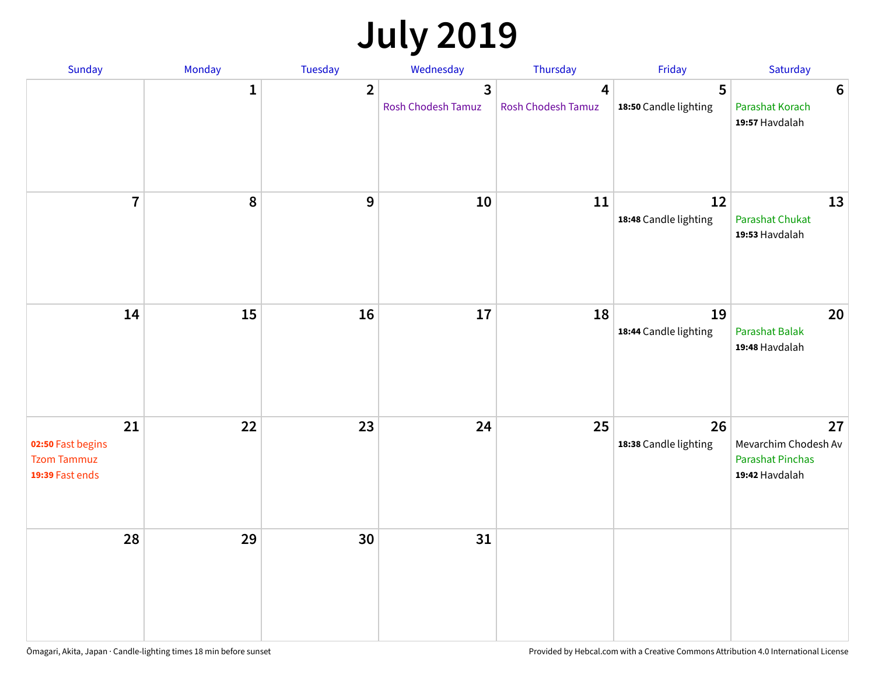# **July 2019**

| Sunday                                                           | Monday       | Tuesday        | Wednesday                                   | Thursday                | Friday                      | Saturday                                                                |
|------------------------------------------------------------------|--------------|----------------|---------------------------------------------|-------------------------|-----------------------------|-------------------------------------------------------------------------|
|                                                                  | $\mathbf{1}$ | $\overline{2}$ | $\overline{3}$<br><b>Rosh Chodesh Tamuz</b> | 4<br>Rosh Chodesh Tamuz | 5<br>18:50 Candle lighting  | $6\phantom{1}6$<br>Parashat Korach<br>19:57 Havdalah                    |
| $\overline{7}$                                                   | 8            | $\overline{9}$ | 10                                          | 11                      | 12<br>18:48 Candle lighting | 13<br><b>Parashat Chukat</b><br>19:53 Havdalah                          |
| 14                                                               | 15           | 16             | 17                                          | 18                      | 19<br>18:44 Candle lighting | 20<br><b>Parashat Balak</b><br>19:48 Havdalah                           |
| 21<br>02:50 Fast begins<br><b>Tzom Tammuz</b><br>19:39 Fast ends | 22           | 23             | 24                                          | 25                      | 26<br>18:38 Candle lighting | 27<br>Mevarchim Chodesh Av<br><b>Parashat Pinchas</b><br>19:42 Havdalah |
| 28                                                               | 29           | 30             | 31                                          |                         |                             |                                                                         |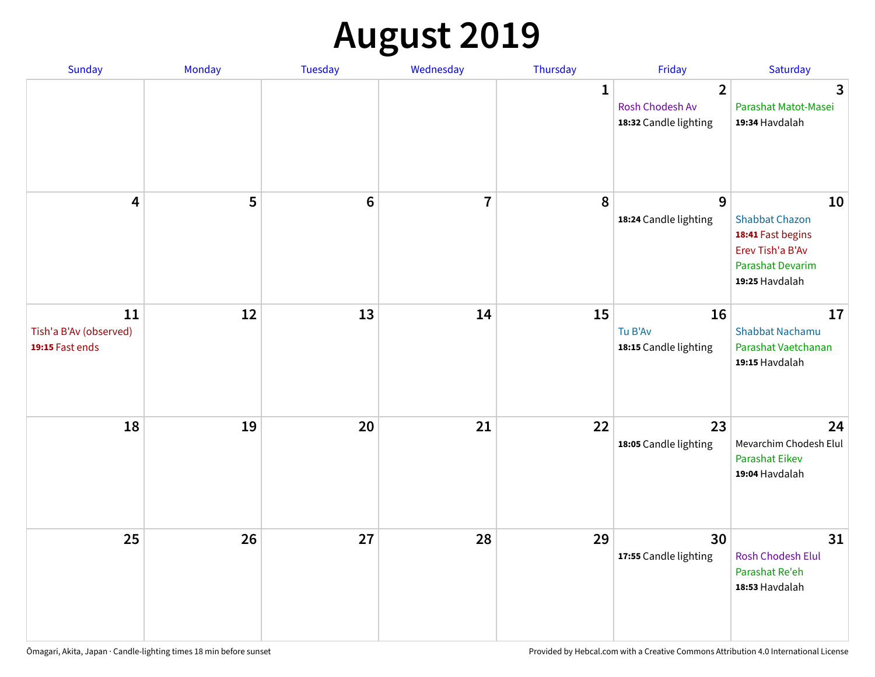# **August 2019**

| Sunday                                          | Monday | Tuesday         | Wednesday               | Thursday     | Friday                                                     | Saturday                                                                                                          |
|-------------------------------------------------|--------|-----------------|-------------------------|--------------|------------------------------------------------------------|-------------------------------------------------------------------------------------------------------------------|
|                                                 |        |                 |                         | $\mathbf{1}$ | $\overline{2}$<br>Rosh Chodesh Av<br>18:32 Candle lighting | $\overline{3}$<br>Parashat Matot-Masei<br>19:34 Havdalah                                                          |
| $\overline{\mathbf{4}}$                         | 5      | $6\phantom{1}6$ | $\overline{\mathbf{I}}$ | 8            | 9<br>18:24 Candle lighting                                 | 10<br><b>Shabbat Chazon</b><br>18:41 Fast begins<br>Erev Tish'a B'Av<br><b>Parashat Devarim</b><br>19:25 Havdalah |
| 11<br>Tish'a B'Av (observed)<br>19:15 Fast ends | 12     | 13              | 14                      | 15           | 16<br>Tu B'Av<br>18:15 Candle lighting                     | 17<br><b>Shabbat Nachamu</b><br>Parashat Vaetchanan<br>19:15 Havdalah                                             |
| 18                                              | 19     | 20              | 21                      | 22           | 23<br>18:05 Candle lighting                                | 24<br>Mevarchim Chodesh Elul<br><b>Parashat Eikev</b><br>19:04 Havdalah                                           |
| 25                                              | 26     | 27              | 28                      | 29           | 30<br>17:55 Candle lighting                                | 31<br>Rosh Chodesh Elul<br>Parashat Re'eh<br>18:53 Havdalah                                                       |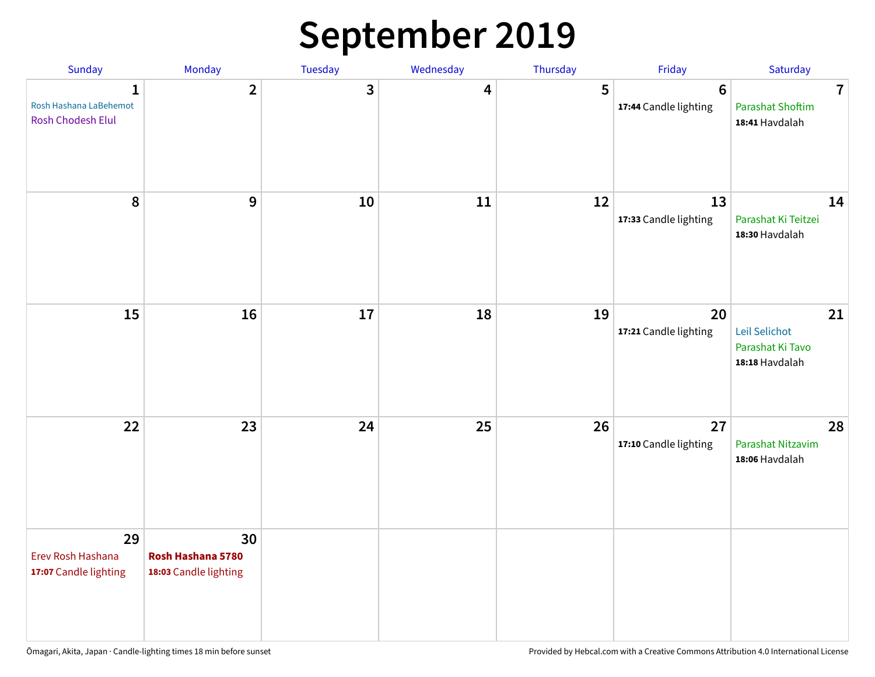### **September 2019**

| Sunday                                                  | Monday                                           | Tuesday | Wednesday | Thursday | Friday                                   | Saturday                                                    |
|---------------------------------------------------------|--------------------------------------------------|---------|-----------|----------|------------------------------------------|-------------------------------------------------------------|
| 1<br>Rosh Hashana LaBehemot<br><b>Rosh Chodesh Elul</b> | $\overline{2}$                                   | 3       | 4         | 5        | $6\phantom{1}6$<br>17:44 Candle lighting | $\overline{7}$<br><b>Parashat Shoftim</b><br>18:41 Havdalah |
| 8                                                       | 9                                                | 10      | 11        | 12       | 13<br>17:33 Candle lighting              | 14<br>Parashat Ki Teitzei<br>18:30 Havdalah                 |
| 15                                                      | 16                                               | 17      | 18        | 19       | 20<br>17:21 Candle lighting              | 21<br>Leil Selichot<br>Parashat Ki Tavo<br>18:18 Havdalah   |
| 22                                                      | 23                                               | 24      | 25        | 26       | 27<br>17:10 Candle lighting              | 28<br>Parashat Nitzavim<br>18:06 Havdalah                   |
| 29<br>Erev Rosh Hashana<br>17:07 Candle lighting        | 30<br>Rosh Hashana 5780<br>18:03 Candle lighting |         |           |          |                                          |                                                             |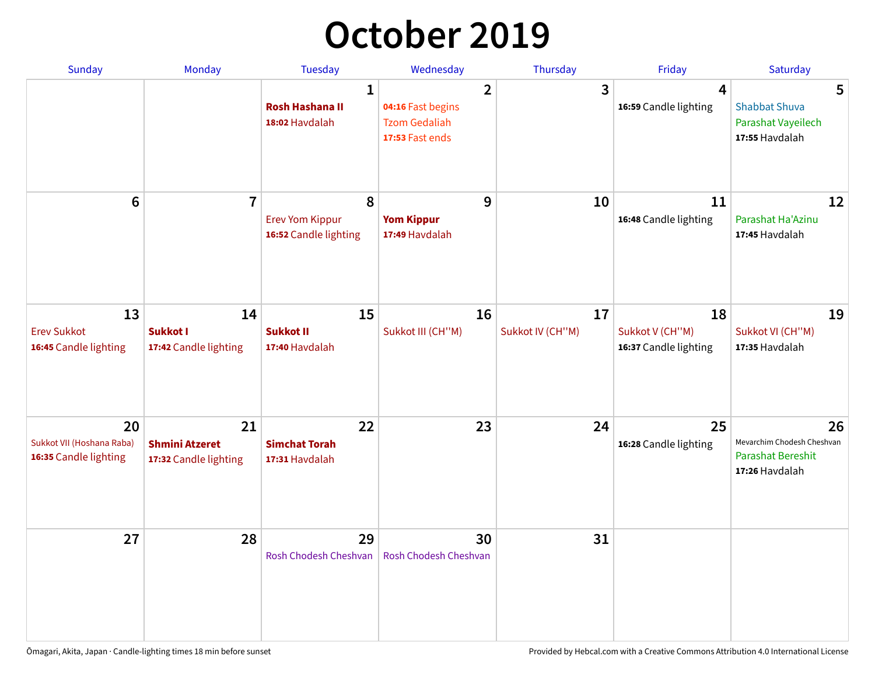## **October 2019**

| <b>Sunday</b>                                            | <b>Monday</b>                                        | <b>Tuesday</b>                                           | Wednesday                                                                      | Thursday               | Friday                                         | Saturday                                                                       |
|----------------------------------------------------------|------------------------------------------------------|----------------------------------------------------------|--------------------------------------------------------------------------------|------------------------|------------------------------------------------|--------------------------------------------------------------------------------|
|                                                          |                                                      | $\mathbf{1}$<br><b>Rosh Hashana II</b><br>18:02 Havdalah | $\overline{2}$<br>04:16 Fast begins<br><b>Tzom Gedaliah</b><br>17:53 Fast ends | 3                      | 4<br>16:59 Candle lighting                     | 5<br><b>Shabbat Shuva</b><br>Parashat Vayeilech<br>17:55 Havdalah              |
| $6\phantom{1}$                                           | $\overline{7}$                                       | 8<br><b>Erev Yom Kippur</b><br>16:52 Candle lighting     | 9<br><b>Yom Kippur</b><br>17:49 Havdalah                                       | 10                     | 11<br>16:48 Candle lighting                    | 12<br>Parashat Ha'Azinu<br>17:45 Havdalah                                      |
| 13<br><b>Erev Sukkot</b><br>16:45 Candle lighting        | 14<br>Sukkot I<br>17:42 Candle lighting              | 15<br><b>Sukkot II</b><br>17:40 Havdalah                 | 16<br>Sukkot III (CH"M)                                                        | 17<br>Sukkot IV (CH"M) | 18<br>Sukkot V (CH"M)<br>16:37 Candle lighting | 19<br>Sukkot VI (CH"M)<br>17:35 Havdalah                                       |
| 20<br>Sukkot VII (Hoshana Raba)<br>16:35 Candle lighting | 21<br><b>Shmini Atzeret</b><br>17:32 Candle lighting | 22<br><b>Simchat Torah</b><br>17:31 Havdalah             | 23                                                                             | 24                     | 25<br>16:28 Candle lighting                    | 26<br>Mevarchim Chodesh Cheshvan<br><b>Parashat Bereshit</b><br>17:26 Havdalah |
| 27                                                       | 28                                                   | 29<br>Rosh Chodesh Cheshvan                              | 30<br>Rosh Chodesh Cheshvan                                                    | 31                     |                                                |                                                                                |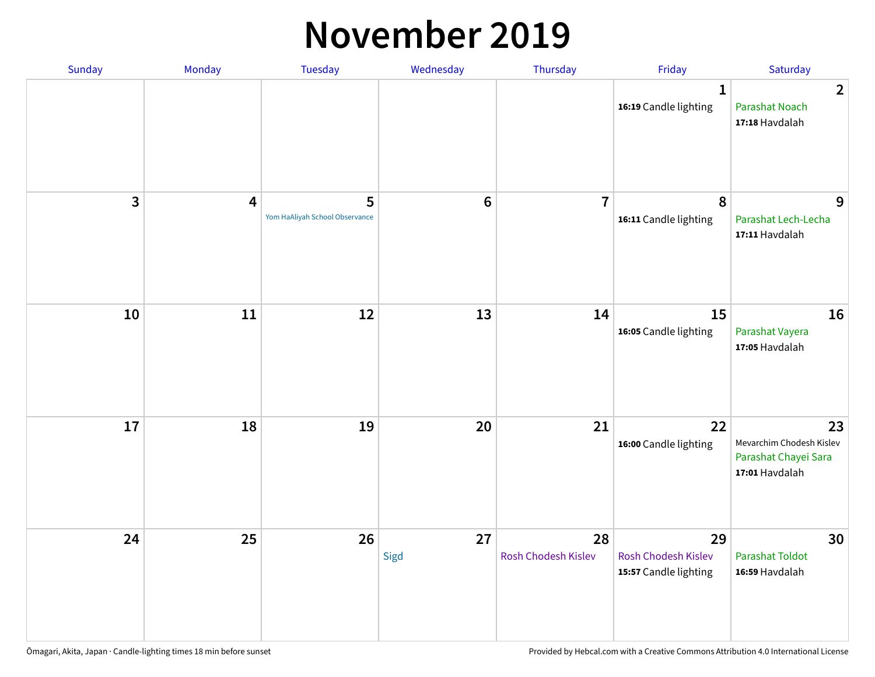#### **November 2019**

| Sunday | Monday                  | Tuesday                             | Wednesday  | Thursday                  | Friday                                             | Saturday                                                                 |
|--------|-------------------------|-------------------------------------|------------|---------------------------|----------------------------------------------------|--------------------------------------------------------------------------|
|        |                         |                                     |            |                           | $\mathbf{1}$<br>16:19 Candle lighting              | $\overline{2}$<br><b>Parashat Noach</b><br>17:18 Havdalah                |
| 3      | $\overline{\mathbf{r}}$ | 5<br>Yom HaAliyah School Observance | $\bf 6$    | $\overline{7}$            | 8<br>16:11 Candle lighting                         | 9<br>Parashat Lech-Lecha<br>17:11 Havdalah                               |
| 10     | 11                      | 12                                  | 13         | 14                        | 15<br>16:05 Candle lighting                        | 16<br>Parashat Vayera<br>17:05 Havdalah                                  |
| 17     | 18                      | 19                                  | 20         | 21                        | 22<br>16:00 Candle lighting                        | 23<br>Mevarchim Chodesh Kislev<br>Parashat Chayei Sara<br>17:01 Havdalah |
| 24     | 25                      | 26                                  | 27<br>Sigd | 28<br>Rosh Chodesh Kislev | 29<br>Rosh Chodesh Kislev<br>15:57 Candle lighting | 30<br><b>Parashat Toldot</b><br>16:59 Havdalah                           |